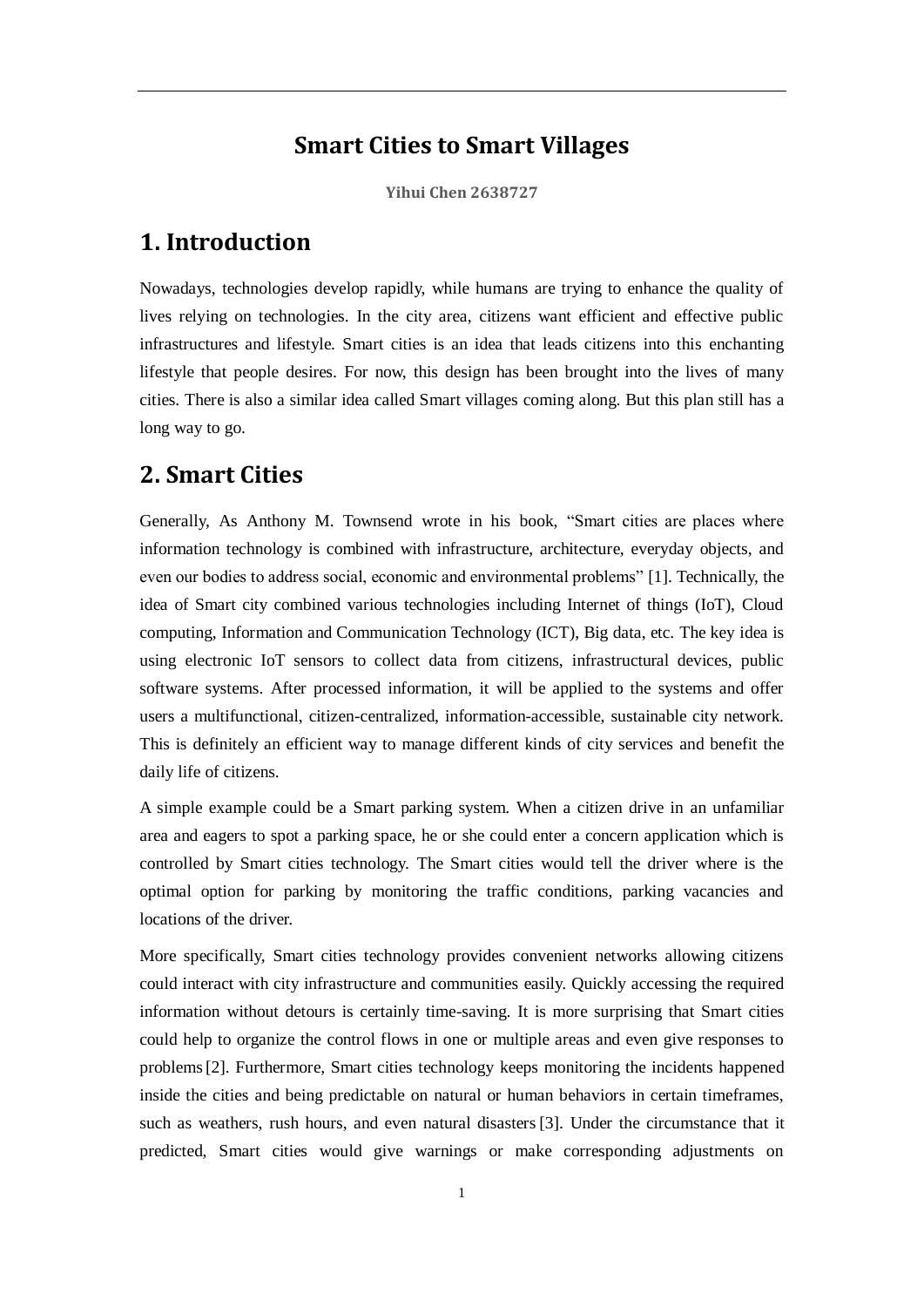#### **Smart Cities to Smart Villages**

**Yihui Chen 2638727**

#### **1. Introduction**

Nowadays, technologies develop rapidly, while humans are trying to enhance the quality of lives relying on technologies. In the city area, citizens want efficient and effective public infrastructures and lifestyle. Smart cities is an idea that leads citizens into this enchanting lifestyle that people desires. For now, this design has been brought into the lives of many cities. There is also a similar idea called Smart villages coming along. But this plan still has a long way to go.

### **2. Smart Cities**

Generally, As Anthony M. Townsend wrote in his book, "Smart cities are places where information technology is combined with infrastructure, architecture, everyday objects, and even our bodies to address social, economic and environmental problems" [1]. Technically, the idea of Smart city combined various technologies including Internet of things (IoT), Cloud computing, Information and Communication Technology (ICT), Big data, etc. The key idea is using electronic IoT sensors to collect data from citizens, infrastructural devices, public software systems. After processed information, it will be applied to the systems and offer users a multifunctional, citizen-centralized, information-accessible, sustainable city network. This is definitely an efficient way to manage different kinds of city services and benefit the daily life of citizens.

A simple example could be a Smart parking system. When a citizen drive in an unfamiliar area and eagers to spot a parking space, he or she could enter a concern application which is controlled by Smart cities technology. The Smart cities would tell the driver where is the optimal option for parking by monitoring the traffic conditions, parking vacancies and locations of the driver.

More specifically, Smart cities technology provides convenient networks allowing citizens could interact with city infrastructure and communities easily. Quickly accessing the required information without detours is certainly time-saving. It is more surprising that Smart cities could help to organize the control flows in one or multiple areas and even give responses to problems[2]. Furthermore, Smart cities technology keeps monitoring the incidents happened inside the cities and being predictable on natural or human behaviors in certain timeframes, such as weathers, rush hours, and even natural disasters [3]. Under the circumstance that it predicted, Smart cities would give warnings or make corresponding adjustments on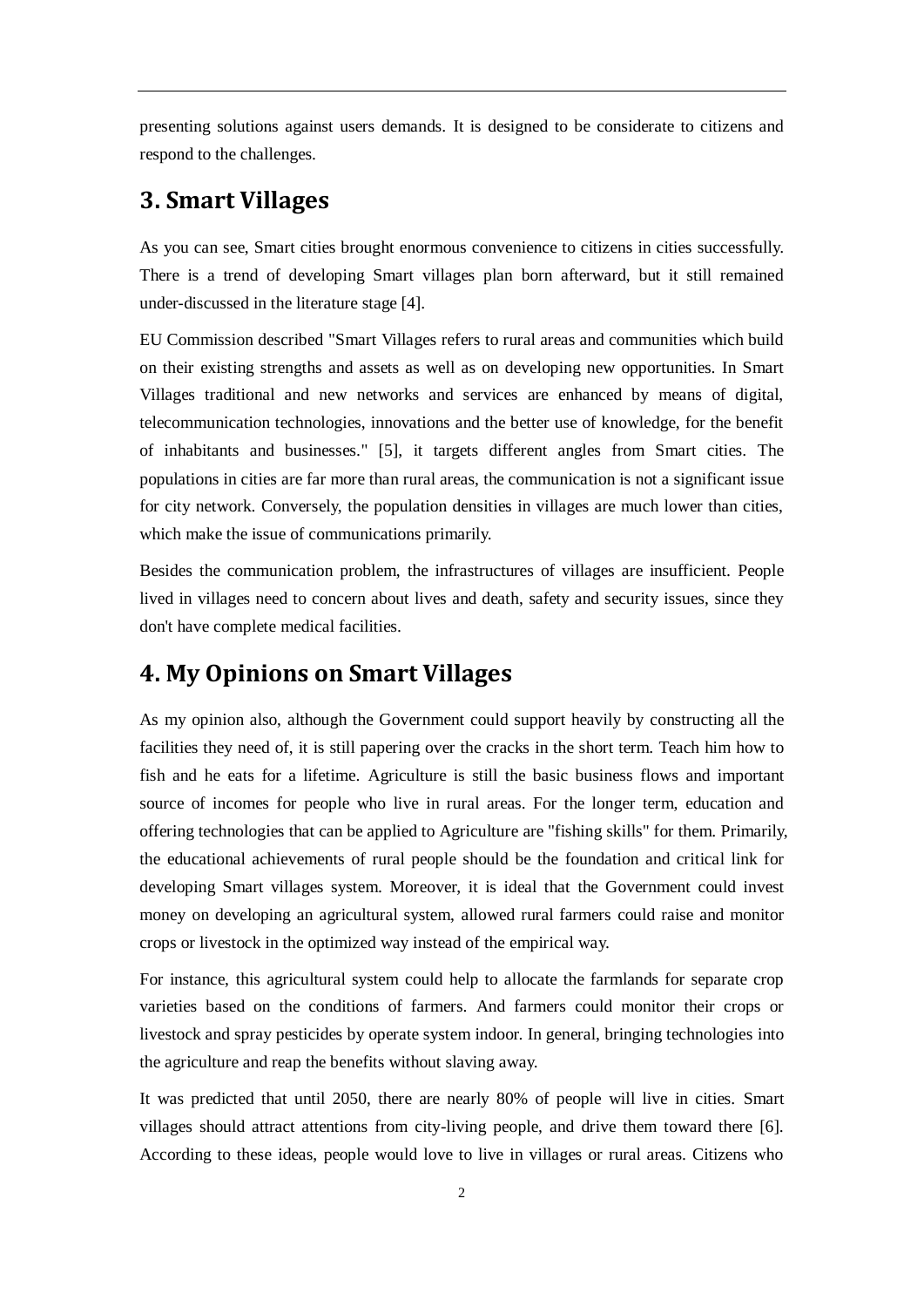presenting solutions against users demands. It is designed to be considerate to citizens and respond to the challenges.

#### **3. Smart Villages**

As you can see, Smart cities brought enormous convenience to citizens in cities successfully. There is a trend of developing Smart villages plan born afterward, but it still remained under-discussed in the literature stage [4].

EU Commission described "Smart Villages refers to rural areas and communities which build on their existing strengths and assets as well as on developing new opportunities. In Smart Villages traditional and new networks and services are enhanced by means of digital, telecommunication technologies, innovations and the better use of knowledge, for the benefit of inhabitants and businesses." [5], it targets different angles from Smart cities. The populations in cities are far more than rural areas, the communication is not a significant issue for city network. Conversely, the population densities in villages are much lower than cities, which make the issue of communications primarily.

Besides the communication problem, the infrastructures of villages are insufficient. People lived in villages need to concern about lives and death, safety and security issues, since they don't have complete medical facilities.

## **4. My Opinions on Smart Villages**

As my opinion also, although the Government could support heavily by constructing all the facilities they need of, it is still papering over the cracks in the short term. Teach him how to fish and he eats for a lifetime. Agriculture is still the basic business flows and important source of incomes for people who live in rural areas. For the longer term, education and offering technologies that can be applied to Agriculture are "fishing skills" for them. Primarily, the educational achievements of rural people should be the foundation and critical link for developing Smart villages system. Moreover, it is ideal that the Government could invest money on developing an agricultural system, allowed rural farmers could raise and monitor crops or livestock in the optimized way instead of the empirical way.

For instance, this agricultural system could help to allocate the farmlands for separate crop varieties based on the conditions of farmers. And farmers could monitor their crops or livestock and spray pesticides by operate system indoor. In general, bringing technologies into the agriculture and reap the benefits without slaving away.

It was predicted that until 2050, there are nearly 80% of people will live in cities. Smart villages should attract attentions from city-living people, and drive them toward there [6]. According to these ideas, people would love to live in villages or rural areas. Citizens who